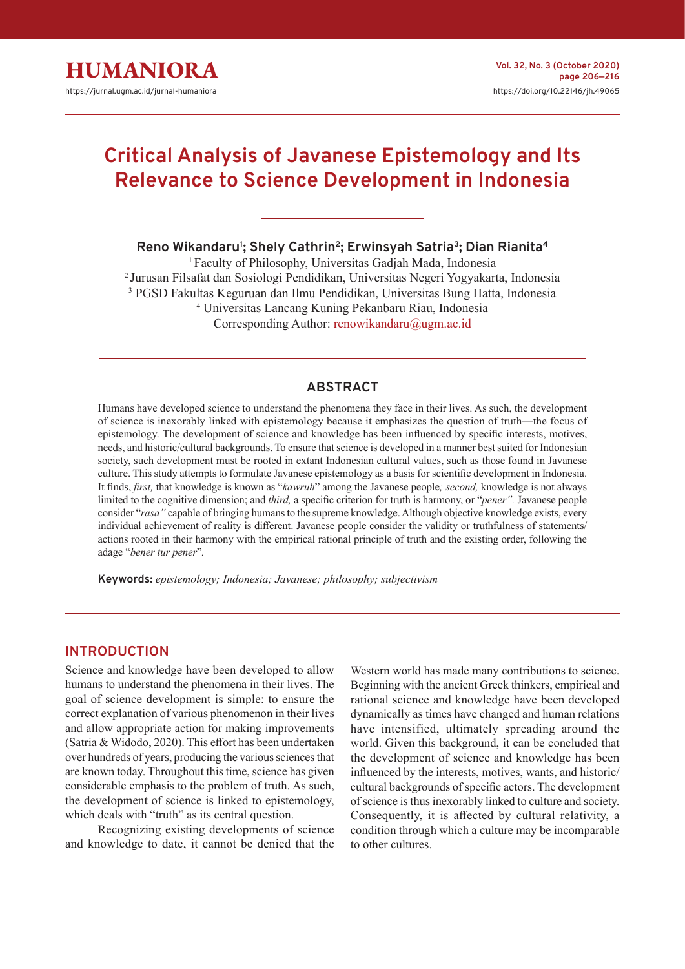

# **Critical Analysis of Javanese Epistemology and Its Relevance to Science Development in Indonesia**

**Reno Wikandaru1 ; Shely Cathrin2; Erwinsyah Satria3; Dian Rianita4**

<sup>1</sup> Faculty of Philosophy, Universitas Gadjah Mada, Indonesia 2 Jurusan Filsafat dan Sosiologi Pendidikan, Universitas Negeri Yogyakarta, Indonesia 3 PGSD Fakultas Keguruan dan Ilmu Pendidikan, Universitas Bung Hatta, Indonesia 4 Universitas Lancang Kuning Pekanbaru Riau, Indonesia Corresponding Author: [renowikandaru@ugm.ac.id](mailto:renowikandaru%40ugm.ac.id?subject=)

# **ABSTRACT**

Humans have developed science to understand the phenomena they face in their lives. As such, the development of science is inexorably linked with epistemology because it emphasizes the question of truth—the focus of epistemology. The development of science and knowledge has been influenced by specific interests, motives, needs, and historic/cultural backgrounds. To ensure that science is developed in a manner best suited for Indonesian society, such development must be rooted in extant Indonesian cultural values, such as those found in Javanese culture. This study attempts to formulate Javanese epistemology as a basis for scientific development in Indonesia. It finds, *first,* that knowledge is known as "*kawruh*" among the Javanese people*; second,* knowledge is not always limited to the cognitive dimension; and *third,* a specific criterion for truth is harmony, or "*pener".* Javanese people consider "*rasa"* capable of bringing humans to the supreme knowledge. Although objective knowledge exists, every individual achievement of reality is different. Javanese people consider the validity or truthfulness of statements/ actions rooted in their harmony with the empirical rational principle of truth and the existing order, following the adage "*bener tur pener*"*.*

**Keywords:** *epistemology; Indonesia; Javanese; philosophy; subjectivism*

## **INTRODUCTION**

Science and knowledge have been developed to allow humans to understand the phenomena in their lives. The goal of science development is simple: to ensure the correct explanation of various phenomenon in their lives and allow appropriate action for making improvements (Satria & Widodo, 2020). This effort has been undertaken over hundreds of years, producing the various sciences that are known today. Throughout this time, science has given considerable emphasis to the problem of truth. As such, the development of science is linked to epistemology, which deals with "truth" as its central question.

Recognizing existing developments of science and knowledge to date, it cannot be denied that the

Western world has made many contributions to science. Beginning with the ancient Greek thinkers, empirical and rational science and knowledge have been developed dynamically as times have changed and human relations have intensified, ultimately spreading around the world. Given this background, it can be concluded that the development of science and knowledge has been influenced by the interests, motives, wants, and historic/ cultural backgrounds of specific actors. The development of science is thus inexorably linked to culture and society. Consequently, it is affected by cultural relativity, a condition through which a culture may be incomparable to other cultures.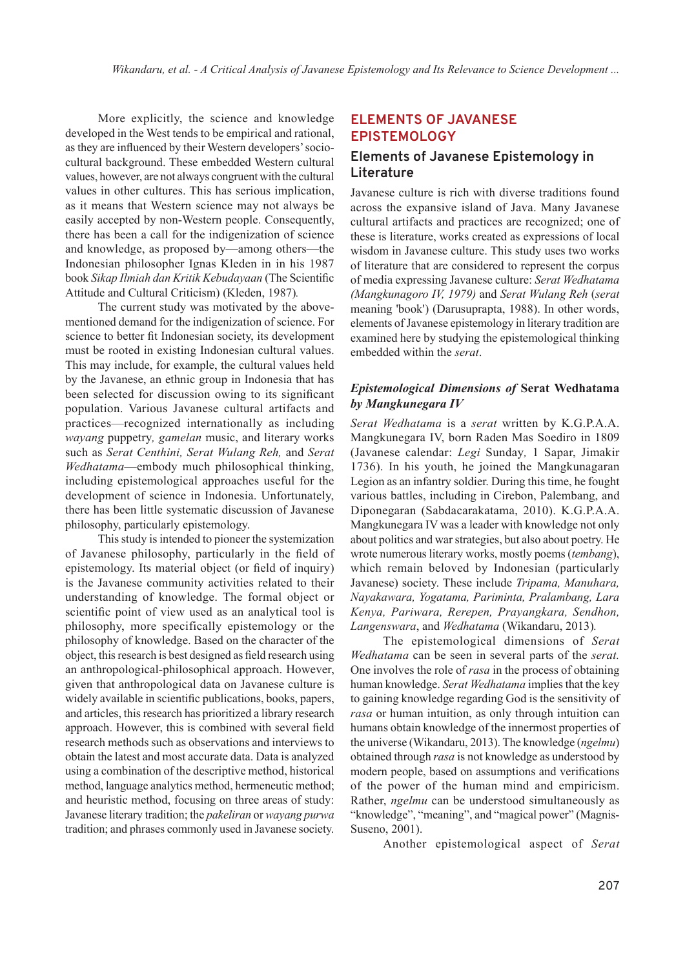More explicitly, the science and knowledge developed in the West tends to be empirical and rational, as they are influenced by their Western developers' sociocultural background. These embedded Western cultural values, however, are not always congruent with the cultural values in other cultures. This has serious implication, as it means that Western science may not always be easily accepted by non-Western people. Consequently, there has been a call for the indigenization of science and knowledge, as proposed by—among others—the Indonesian philosopher Ignas Kleden in in his 1987 book *Sikap Ilmiah dan Kritik Kebudayaan* (The Scientific Attitude and Cultural Criticism) (Kleden, 1987)*.* 

The current study was motivated by the abovementioned demand for the indigenization of science. For science to better fit Indonesian society, its development must be rooted in existing Indonesian cultural values. This may include, for example, the cultural values held by the Javanese, an ethnic group in Indonesia that has been selected for discussion owing to its significant population. Various Javanese cultural artifacts and practices—recognized internationally as including *wayang* puppetry*, gamelan* music, and literary works such as *Serat Centhini, Serat Wulang Reh,* and *Serat Wedhatama*—embody much philosophical thinking, including epistemological approaches useful for the development of science in Indonesia. Unfortunately, there has been little systematic discussion of Javanese philosophy, particularly epistemology.

This study is intended to pioneer the systemization of Javanese philosophy, particularly in the field of epistemology. Its material object (or field of inquiry) is the Javanese community activities related to their understanding of knowledge. The formal object or scientific point of view used as an analytical tool is philosophy, more specifically epistemology or the philosophy of knowledge. Based on the character of the object, this research is best designed as field research using an anthropological-philosophical approach. However, given that anthropological data on Javanese culture is widely available in scientific publications, books, papers, and articles, this research has prioritized a library research approach. However, this is combined with several field research methods such as observations and interviews to obtain the latest and most accurate data. Data is analyzed using a combination of the descriptive method, historical method, language analytics method, hermeneutic method; and heuristic method, focusing on three areas of study: Javanese literary tradition; the *pakeliran* or *wayang purwa* tradition; and phrases commonly used in Javanese society.

## **ELEMENTS OF JAVANESE EPISTEMOLOGY**

## **Elements of Javanese Epistemology in Literature**

Javanese culture is rich with diverse traditions found across the expansive island of Java. Many Javanese cultural artifacts and practices are recognized; one of these is literature, works created as expressions of local wisdom in Javanese culture. This study uses two works of literature that are considered to represent the corpus of media expressing Javanese culture: *Serat Wedhatama (Mangkunagoro IV, 1979)* and *Serat Wulang Reh* (*serat*  meaning 'book') (Darusuprapta, 1988). In other words, elements of Javanese epistemology in literary tradition are examined here by studying the epistemological thinking embedded within the *serat*.

## *Epistemological Dimensions of* **Serat Wedhatama** *by Mangkunegara IV*

*Serat Wedhatama* is a *serat* written by K.G.P.A.A. Mangkunegara IV, born Raden Mas Soediro in 1809 (Javanese calendar: *Legi* Sunday*,* 1 Sapar, Jimakir 1736). In his youth, he joined the Mangkunagaran Legion as an infantry soldier. During this time, he fought various battles, including in Cirebon, Palembang, and Diponegaran (Sabdacarakatama, 2010). K.G.P.A.A. Mangkunegara IV was a leader with knowledge not only about politics and war strategies, but also about poetry. He wrote numerous literary works, mostly poems (*tembang*), which remain beloved by Indonesian (particularly Javanese) society. These include *Tripama, Manuhara, Nayakawara, Yogatama, Pariminta, Pralambang, Lara Kenya, Pariwara, Rerepen, Prayangkara, Sendhon, Langenswara*, and *Wedhatama* (Wikandaru, 2013)*.*

The epistemological dimensions of *Serat Wedhatama* can be seen in several parts of the *serat.*  One involves the role of *rasa* in the process of obtaining human knowledge. *Serat Wedhatama* implies that the key to gaining knowledge regarding God is the sensitivity of *rasa* or human intuition, as only through intuition can humans obtain knowledge of the innermost properties of the universe (Wikandaru, 2013). The knowledge (*ngelmu*) obtained through *rasa* is not knowledge as understood by modern people, based on assumptions and verifications of the power of the human mind and empiricism. Rather, *ngelmu* can be understood simultaneously as "knowledge", "meaning", and "magical power" (Magnis-Suseno, 2001).

Another epistemological aspect of *Serat*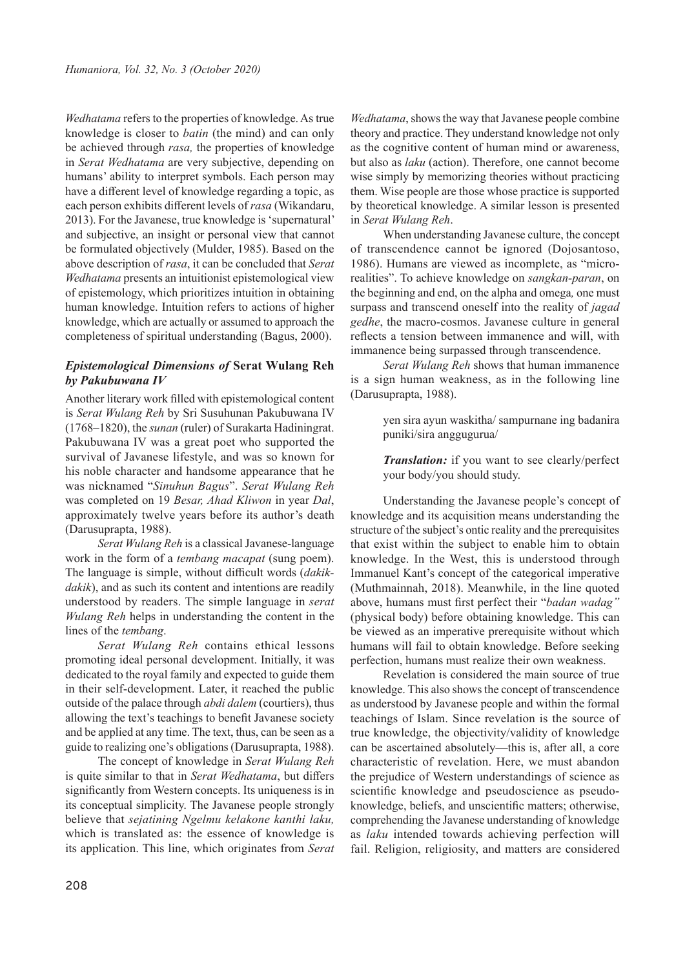*Wedhatama* refers to the properties of knowledge. As true knowledge is closer to *batin* (the mind) and can only be achieved through *rasa,* the properties of knowledge in *Serat Wedhatama* are very subjective, depending on humans' ability to interpret symbols. Each person may have a different level of knowledge regarding a topic, as each person exhibits different levels of *rasa* (Wikandaru, 2013). For the Javanese, true knowledge is 'supernatural' and subjective, an insight or personal view that cannot be formulated objectively (Mulder, 1985). Based on the above description of *rasa*, it can be concluded that *Serat Wedhatama* presents an intuitionist epistemological view of epistemology, which prioritizes intuition in obtaining human knowledge. Intuition refers to actions of higher knowledge, which are actually or assumed to approach the completeness of spiritual understanding (Bagus, 2000).

## *Epistemological Dimensions of* **Serat Wulang Reh** *by Pakubuwana IV*

Another literary work filled with epistemological content is *Serat Wulang Reh* by Sri Susuhunan Pakubuwana IV (1768–1820), the *sunan* (ruler) of Surakarta Hadiningrat. Pakubuwana IV was a great poet who supported the survival of Javanese lifestyle, and was so known for his noble character and handsome appearance that he was nicknamed "*Sinuhun Bagus*". *Serat Wulang Reh* was completed on 19 *Besar, Ahad Kliwon* in year *Dal*, approximately twelve years before its author's death (Darusuprapta, 1988).

*Serat Wulang Reh* is a classical Javanese-language work in the form of a *tembang macapat* (sung poem). The language is simple, without difficult words (*dakikdakik*), and as such its content and intentions are readily understood by readers. The simple language in *serat Wulang Reh* helps in understanding the content in the lines of the *tembang*.

*Serat Wulang Reh* contains ethical lessons promoting ideal personal development. Initially, it was dedicated to the royal family and expected to guide them in their self-development. Later, it reached the public outside of the palace through *abdi dalem* (courtiers), thus allowing the text's teachings to benefit Javanese society and be applied at any time. The text, thus, can be seen as a guide to realizing one's obligations (Darusuprapta, 1988).

The concept of knowledge in *Serat Wulang Reh* is quite similar to that in *Serat Wedhatama*, but differs significantly from Western concepts. Its uniqueness is in its conceptual simplicity. The Javanese people strongly believe that *sejatining Ngelmu kelakone kanthi laku,*  which is translated as: the essence of knowledge is its application. This line, which originates from *Serat*

*Wedhatama*, shows the way that Javanese people combine theory and practice. They understand knowledge not only as the cognitive content of human mind or awareness, but also as *laku* (action). Therefore, one cannot become wise simply by memorizing theories without practicing them. Wise people are those whose practice is supported by theoretical knowledge. A similar lesson is presented in *Serat Wulang Reh*.

When understanding Javanese culture, the concept of transcendence cannot be ignored (Dojosantoso, 1986). Humans are viewed as incomplete, as "microrealities". To achieve knowledge on *sangkan-paran*, on the beginning and end, on the alpha and omega*,* one must surpass and transcend oneself into the reality of *jagad gedhe*, the macro-cosmos. Javanese culture in general reflects a tension between immanence and will, with immanence being surpassed through transcendence.

*Serat Wulang Reh* shows that human immanence is a sign human weakness, as in the following line (Darusuprapta, 1988).

> yen sira ayun waskitha/ sampurnane ing badanira puniki/sira anggugurua/

> *Translation:* if you want to see clearly/perfect your body/you should study.

Understanding the Javanese people's concept of knowledge and its acquisition means understanding the structure of the subject's ontic reality and the prerequisites that exist within the subject to enable him to obtain knowledge. In the West, this is understood through Immanuel Kant's concept of the categorical imperative (Muthmainnah, 2018). Meanwhile, in the line quoted above, humans must first perfect their "*badan wadag"*  (physical body) before obtaining knowledge. This can be viewed as an imperative prerequisite without which humans will fail to obtain knowledge. Before seeking perfection, humans must realize their own weakness.

Revelation is considered the main source of true knowledge. This also shows the concept of transcendence as understood by Javanese people and within the formal teachings of Islam. Since revelation is the source of true knowledge, the objectivity/validity of knowledge can be ascertained absolutely—this is, after all, a core characteristic of revelation. Here, we must abandon the prejudice of Western understandings of science as scientific knowledge and pseudoscience as pseudoknowledge, beliefs, and unscientific matters; otherwise, comprehending the Javanese understanding of knowledge as *laku* intended towards achieving perfection will fail. Religion, religiosity, and matters are considered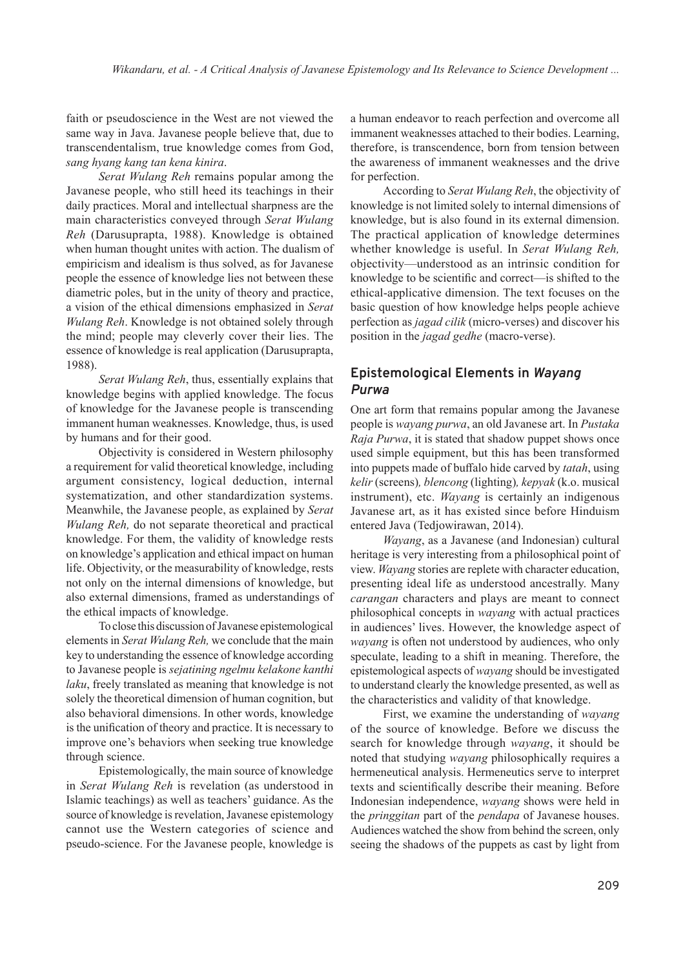faith or pseudoscience in the West are not viewed the same way in Java. Javanese people believe that, due to transcendentalism, true knowledge comes from God, *sang hyang kang tan kena kinira*.

*Serat Wulang Reh* remains popular among the Javanese people, who still heed its teachings in their daily practices. Moral and intellectual sharpness are the main characteristics conveyed through *Serat Wulang Reh* (Darusuprapta, 1988). Knowledge is obtained when human thought unites with action. The dualism of empiricism and idealism is thus solved, as for Javanese people the essence of knowledge lies not between these diametric poles, but in the unity of theory and practice, a vision of the ethical dimensions emphasized in *Serat Wulang Reh*. Knowledge is not obtained solely through the mind; people may cleverly cover their lies. The essence of knowledge is real application (Darusuprapta, 1988).

*Serat Wulang Reh*, thus, essentially explains that knowledge begins with applied knowledge. The focus of knowledge for the Javanese people is transcending immanent human weaknesses. Knowledge, thus, is used by humans and for their good.

Objectivity is considered in Western philosophy a requirement for valid theoretical knowledge, including argument consistency, logical deduction, internal systematization, and other standardization systems. Meanwhile, the Javanese people, as explained by *Serat Wulang Reh,* do not separate theoretical and practical knowledge. For them, the validity of knowledge rests on knowledge's application and ethical impact on human life. Objectivity, or the measurability of knowledge, rests not only on the internal dimensions of knowledge, but also external dimensions, framed as understandings of the ethical impacts of knowledge.

To close this discussion of Javanese epistemological elements in *Serat Wulang Reh,* we conclude that the main key to understanding the essence of knowledge according to Javanese people is *sejatining ngelmu kelakone kanthi laku*, freely translated as meaning that knowledge is not solely the theoretical dimension of human cognition, but also behavioral dimensions. In other words, knowledge is the unification of theory and practice. It is necessary to improve one's behaviors when seeking true knowledge through science.

Epistemologically, the main source of knowledge in *Serat Wulang Reh* is revelation (as understood in Islamic teachings) as well as teachers' guidance. As the source of knowledge is revelation, Javanese epistemology cannot use the Western categories of science and pseudo-science. For the Javanese people, knowledge is a human endeavor to reach perfection and overcome all immanent weaknesses attached to their bodies. Learning, therefore, is transcendence, born from tension between the awareness of immanent weaknesses and the drive for perfection.

According to *Serat Wulang Reh*, the objectivity of knowledge is not limited solely to internal dimensions of knowledge, but is also found in its external dimension. The practical application of knowledge determines whether knowledge is useful. In *Serat Wulang Reh,* objectivity—understood as an intrinsic condition for knowledge to be scientific and correct—is shifted to the ethical-applicative dimension. The text focuses on the basic question of how knowledge helps people achieve perfection as *jagad cilik* (micro-verses) and discover his position in the *jagad gedhe* (macro-verse).

# **Epistemological Elements in** *Wayang Purwa*

One art form that remains popular among the Javanese people is *wayang purwa*, an old Javanese art. In *Pustaka Raja Purwa*, it is stated that shadow puppet shows once used simple equipment, but this has been transformed into puppets made of buffalo hide carved by *tatah*, using *kelir* (screens)*, blencong* (lighting)*, kepyak* (k.o. musical instrument), etc. *Wayang* is certainly an indigenous Javanese art, as it has existed since before Hinduism entered Java (Tedjowirawan, 2014).

*Wayang*, as a Javanese (and Indonesian) cultural heritage is very interesting from a philosophical point of view. *Wayang* stories are replete with character education, presenting ideal life as understood ancestrally. Many *carangan* characters and plays are meant to connect philosophical concepts in *wayang* with actual practices in audiences' lives. However, the knowledge aspect of *wayang* is often not understood by audiences, who only speculate, leading to a shift in meaning. Therefore, the epistemological aspects of *wayang* should be investigated to understand clearly the knowledge presented, as well as the characteristics and validity of that knowledge.

First, we examine the understanding of *wayang* of the source of knowledge. Before we discuss the search for knowledge through *wayang*, it should be noted that studying *wayang* philosophically requires a hermeneutical analysis. Hermeneutics serve to interpret texts and scientifically describe their meaning. Before Indonesian independence, *wayang* shows were held in the *pringgitan* part of the *pendapa* of Javanese houses. Audiences watched the show from behind the screen, only seeing the shadows of the puppets as cast by light from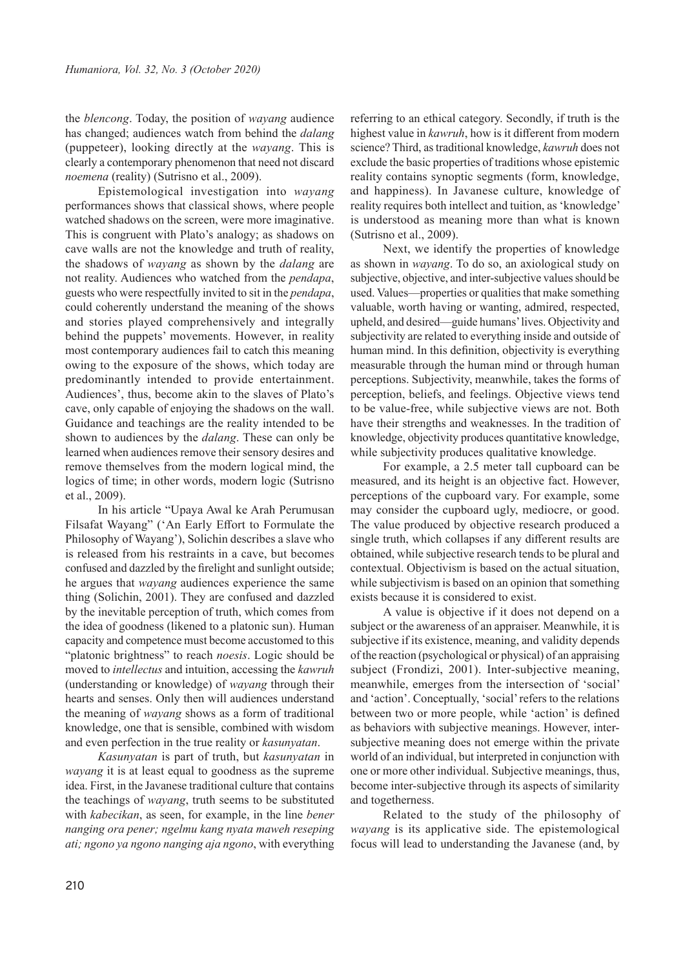the *blencong*. Today, the position of *wayang* audience has changed; audiences watch from behind the *dalang* (puppeteer), looking directly at the *wayang*. This is clearly a contemporary phenomenon that need not discard *noemena* (reality) (Sutrisno et al., 2009).

Epistemological investigation into *wayang* performances shows that classical shows, where people watched shadows on the screen, were more imaginative. This is congruent with Plato's analogy; as shadows on cave walls are not the knowledge and truth of reality, the shadows of *wayang* as shown by the *dalang* are not reality. Audiences who watched from the *pendapa*, guests who were respectfully invited to sit in the *pendapa*, could coherently understand the meaning of the shows and stories played comprehensively and integrally behind the puppets' movements. However, in reality most contemporary audiences fail to catch this meaning owing to the exposure of the shows, which today are predominantly intended to provide entertainment. Audiences', thus, become akin to the slaves of Plato's cave, only capable of enjoying the shadows on the wall. Guidance and teachings are the reality intended to be shown to audiences by the *dalang*. These can only be learned when audiences remove their sensory desires and remove themselves from the modern logical mind, the logics of time; in other words, modern logic (Sutrisno et al., 2009).

In his article "Upaya Awal ke Arah Perumusan Filsafat Wayang" ('An Early Effort to Formulate the Philosophy of Wayang'), Solichin describes a slave who is released from his restraints in a cave, but becomes confused and dazzled by the firelight and sunlight outside; he argues that *wayang* audiences experience the same thing (Solichin, 2001). They are confused and dazzled by the inevitable perception of truth, which comes from the idea of goodness (likened to a platonic sun). Human capacity and competence must become accustomed to this "platonic brightness" to reach *noesis*. Logic should be moved to *intellectus* and intuition, accessing the *kawruh* (understanding or knowledge) of *wayang* through their hearts and senses. Only then will audiences understand the meaning of *wayang* shows as a form of traditional knowledge, one that is sensible, combined with wisdom and even perfection in the true reality or *kasunyatan*.

*Kasunyatan* is part of truth, but *kasunyatan* in *wayang* it is at least equal to goodness as the supreme idea. First, in the Javanese traditional culture that contains the teachings of *wayang*, truth seems to be substituted with *kabecikan*, as seen, for example, in the line *bener nanging ora pener; ngelmu kang nyata maweh reseping ati; ngono ya ngono nanging aja ngono*, with everything referring to an ethical category. Secondly, if truth is the highest value in *kawruh*, how is it different from modern science? Third, as traditional knowledge, *kawruh* does not exclude the basic properties of traditions whose epistemic reality contains synoptic segments (form, knowledge, and happiness). In Javanese culture, knowledge of reality requires both intellect and tuition, as 'knowledge' is understood as meaning more than what is known (Sutrisno et al., 2009).

Next, we identify the properties of knowledge as shown in *wayang*. To do so, an axiological study on subjective, objective, and inter-subjective values should be used. Values—properties or qualities that make something valuable, worth having or wanting, admired, respected, upheld, and desired—guide humans' lives. Objectivity and subjectivity are related to everything inside and outside of human mind. In this definition, objectivity is everything measurable through the human mind or through human perceptions. Subjectivity, meanwhile, takes the forms of perception, beliefs, and feelings. Objective views tend to be value-free, while subjective views are not. Both have their strengths and weaknesses. In the tradition of knowledge, objectivity produces quantitative knowledge, while subjectivity produces qualitative knowledge.

For example, a 2.5 meter tall cupboard can be measured, and its height is an objective fact. However, perceptions of the cupboard vary. For example, some may consider the cupboard ugly, mediocre, or good. The value produced by objective research produced a single truth, which collapses if any different results are obtained, while subjective research tends to be plural and contextual. Objectivism is based on the actual situation, while subjectivism is based on an opinion that something exists because it is considered to exist.

A value is objective if it does not depend on a subject or the awareness of an appraiser. Meanwhile, it is subjective if its existence, meaning, and validity depends of the reaction (psychological or physical) of an appraising subject (Frondizi, 2001). Inter-subjective meaning, meanwhile, emerges from the intersection of 'social' and 'action'. Conceptually, 'social' refers to the relations between two or more people, while 'action' is defined as behaviors with subjective meanings. However, intersubjective meaning does not emerge within the private world of an individual, but interpreted in conjunction with one or more other individual. Subjective meanings, thus, become inter-subjective through its aspects of similarity and togetherness.

Related to the study of the philosophy of *wayang* is its applicative side. The epistemological focus will lead to understanding the Javanese (and, by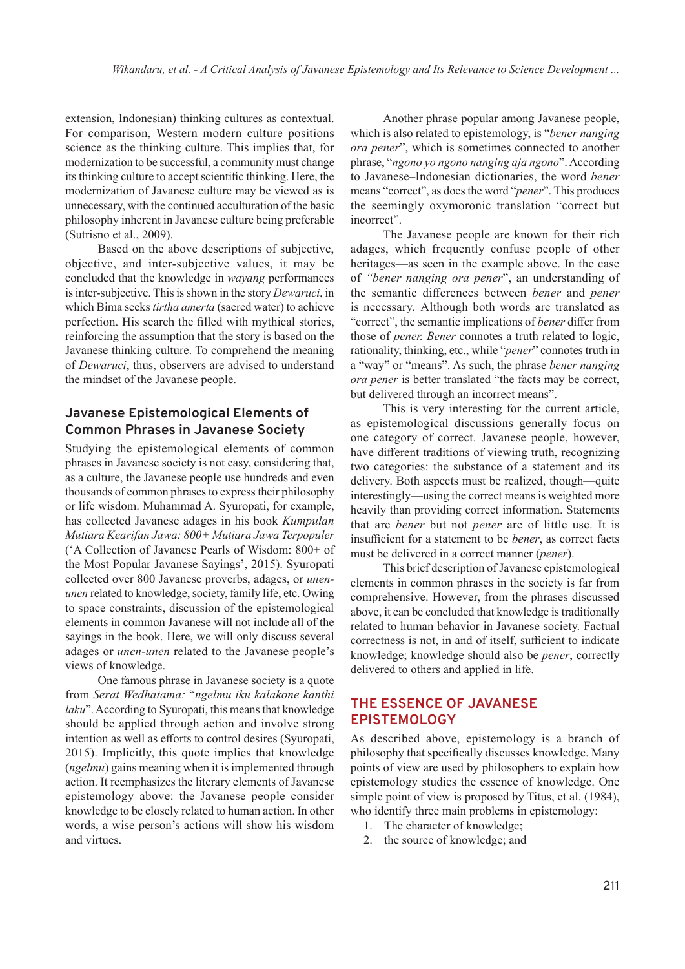extension, Indonesian) thinking cultures as contextual. For comparison, Western modern culture positions science as the thinking culture. This implies that, for modernization to be successful, a community must change its thinking culture to accept scientific thinking. Here, the modernization of Javanese culture may be viewed as is unnecessary, with the continued acculturation of the basic philosophy inherent in Javanese culture being preferable (Sutrisno et al., 2009).

Based on the above descriptions of subjective, objective, and inter-subjective values, it may be concluded that the knowledge in *wayang* performances is inter-subjective. This is shown in the story *Dewaruci*, in which Bima seeks *tirtha amerta* (sacred water) to achieve perfection. His search the filled with mythical stories, reinforcing the assumption that the story is based on the Javanese thinking culture. To comprehend the meaning of *Dewaruci*, thus, observers are advised to understand the mindset of the Javanese people.

# **Javanese Epistemological Elements of Common Phrases in Javanese Society**

Studying the epistemological elements of common phrases in Javanese society is not easy, considering that, as a culture, the Javanese people use hundreds and even thousands of common phrases to express their philosophy or life wisdom. Muhammad A. Syuropati, for example, has collected Javanese adages in his book *Kumpulan Mutiara Kearifan Jawa: 800+ Mutiara Jawa Terpopuler* ('A Collection of Javanese Pearls of Wisdom: 800+ of the Most Popular Javanese Sayings', 2015). Syuropati collected over 800 Javanese proverbs, adages, or *unenunen* related to knowledge, society, family life, etc. Owing to space constraints, discussion of the epistemological elements in common Javanese will not include all of the sayings in the book. Here, we will only discuss several adages or *unen-unen* related to the Javanese people's views of knowledge.

One famous phrase in Javanese society is a quote from *Serat Wedhatama:* "*ngelmu iku kalakone kanthi laku*". According to Syuropati, this means that knowledge should be applied through action and involve strong intention as well as efforts to control desires (Syuropati, 2015). Implicitly, this quote implies that knowledge (*ngelmu*) gains meaning when it is implemented through action. It reemphasizes the literary elements of Javanese epistemology above: the Javanese people consider knowledge to be closely related to human action. In other words, a wise person's actions will show his wisdom and virtues.

Another phrase popular among Javanese people, which is also related to epistemology, is "*bener nanging ora pener*", which is sometimes connected to another phrase, "*ngono yo ngono nanging aja ngono*". According to Javanese–Indonesian dictionaries, the word *bener*  means "correct", as does the word "*pener*". This produces the seemingly oxymoronic translation "correct but incorrect".

The Javanese people are known for their rich adages, which frequently confuse people of other heritages—as seen in the example above. In the case of *"bener nanging ora pener*", an understanding of the semantic differences between *bener* and *pener*  is necessary*.* Although both words are translated as "correct", the semantic implications of *bener* differ from those of *pener. Bener* connotes a truth related to logic, rationality, thinking, etc., while "*pener*" connotes truth in a "way" or "means". As such, the phrase *bener nanging ora pener* is better translated "the facts may be correct, but delivered through an incorrect means".

This is very interesting for the current article, as epistemological discussions generally focus on one category of correct. Javanese people, however, have different traditions of viewing truth, recognizing two categories: the substance of a statement and its delivery. Both aspects must be realized, though—quite interestingly—using the correct means is weighted more heavily than providing correct information. Statements that are *bener* but not *pener* are of little use. It is insufficient for a statement to be *bener*, as correct facts must be delivered in a correct manner (*pener*).

This brief description of Javanese epistemological elements in common phrases in the society is far from comprehensive. However, from the phrases discussed above, it can be concluded that knowledge is traditionally related to human behavior in Javanese society. Factual correctness is not, in and of itself, sufficient to indicate knowledge; knowledge should also be *pener*, correctly delivered to others and applied in life.

# **THE ESSENCE OF JAVANESE EPISTEMOLOGY**

As described above, epistemology is a branch of philosophy that specifically discusses knowledge. Many points of view are used by philosophers to explain how epistemology studies the essence of knowledge. One simple point of view is proposed by Titus, et al. (1984), who identify three main problems in epistemology:

- 1. The character of knowledge;
- 2. the source of knowledge; and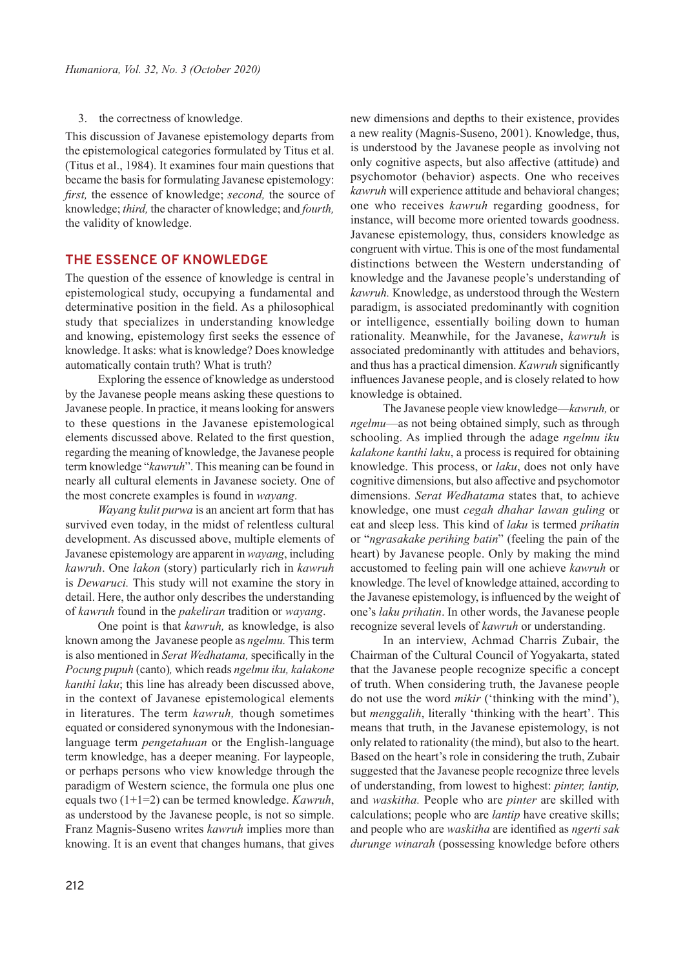3. the correctness of knowledge.

This discussion of Javanese epistemology departs from the epistemological categories formulated by Titus et al. (Titus et al., 1984). It examines four main questions that became the basis for formulating Javanese epistemology: *first,* the essence of knowledge; *second,* the source of knowledge; *third,* the character of knowledge; and *fourth,*  the validity of knowledge.

## **THE ESSENCE OF KNOWLEDGE**

The question of the essence of knowledge is central in epistemological study, occupying a fundamental and determinative position in the field. As a philosophical study that specializes in understanding knowledge and knowing, epistemology first seeks the essence of knowledge. It asks: what is knowledge? Does knowledge automatically contain truth? What is truth?

Exploring the essence of knowledge as understood by the Javanese people means asking these questions to Javanese people. In practice, it means looking for answers to these questions in the Javanese epistemological elements discussed above. Related to the first question, regarding the meaning of knowledge, the Javanese people term knowledge "*kawruh*". This meaning can be found in nearly all cultural elements in Javanese society. One of the most concrete examples is found in *wayang*.

*Wayang kulit purwa* is an ancient art form that has survived even today, in the midst of relentless cultural development. As discussed above, multiple elements of Javanese epistemology are apparent in *wayang*, including *kawruh*. One *lakon* (story) particularly rich in *kawruh* is *Dewaruci.* This study will not examine the story in detail. Here, the author only describes the understanding of *kawruh* found in the *pakeliran* tradition or *wayang*.

One point is that *kawruh,* as knowledge, is also known among the Javanese people as *ngelmu.* This term is also mentioned in *Serat Wedhatama,* specifically in the *Pocung pupuh* (canto)*,* which reads *ngelmu iku, kalakone kanthi laku*; this line has already been discussed above, in the context of Javanese epistemological elements in literatures. The term *kawruh,* though sometimes equated or considered synonymous with the Indonesianlanguage term *pengetahuan* or the English-language term knowledge, has a deeper meaning. For laypeople, or perhaps persons who view knowledge through the paradigm of Western science, the formula one plus one equals two (1+1=2) can be termed knowledge. *Kawruh*, as understood by the Javanese people, is not so simple. Franz Magnis-Suseno writes *kawruh* implies more than knowing. It is an event that changes humans, that gives new dimensions and depths to their existence, provides a new reality (Magnis-Suseno, 2001). Knowledge, thus, is understood by the Javanese people as involving not only cognitive aspects, but also affective (attitude) and psychomotor (behavior) aspects. One who receives *kawruh* will experience attitude and behavioral changes; one who receives *kawruh* regarding goodness, for instance, will become more oriented towards goodness. Javanese epistemology, thus, considers knowledge as congruent with virtue. This is one of the most fundamental distinctions between the Western understanding of knowledge and the Javanese people's understanding of *kawruh.* Knowledge, as understood through the Western paradigm, is associated predominantly with cognition or intelligence, essentially boiling down to human rationality. Meanwhile, for the Javanese, *kawruh* is associated predominantly with attitudes and behaviors, and thus has a practical dimension. *Kawruh* significantly influences Javanese people, and is closely related to how knowledge is obtained.

The Javanese people view knowledge—*kawruh,* or *ngelmu*—as not being obtained simply, such as through schooling. As implied through the adage *ngelmu iku kalakone kanthi laku*, a process is required for obtaining knowledge. This process, or *laku*, does not only have cognitive dimensions, but also affective and psychomotor dimensions. *Serat Wedhatama* states that, to achieve knowledge, one must *cegah dhahar lawan guling* or eat and sleep less. This kind of *laku* is termed *prihatin*  or "*ngrasakake perihing batin*" (feeling the pain of the heart) by Javanese people. Only by making the mind accustomed to feeling pain will one achieve *kawruh* or knowledge. The level of knowledge attained, according to the Javanese epistemology, is influenced by the weight of one's *laku prihatin*. In other words, the Javanese people recognize several levels of *kawruh* or understanding.

In an interview, Achmad Charris Zubair, the Chairman of the Cultural Council of Yogyakarta, stated that the Javanese people recognize specific a concept of truth. When considering truth, the Javanese people do not use the word *mikir* ('thinking with the mind'), but *menggalih*, literally 'thinking with the heart'. This means that truth, in the Javanese epistemology, is not only related to rationality (the mind), but also to the heart. Based on the heart's role in considering the truth, Zubair suggested that the Javanese people recognize three levels of understanding, from lowest to highest: *pinter, lantip,*  and *waskitha.* People who are *pinter* are skilled with calculations; people who are *lantip* have creative skills; and people who are *waskitha* are identified as *ngerti sak durunge winarah* (possessing knowledge before others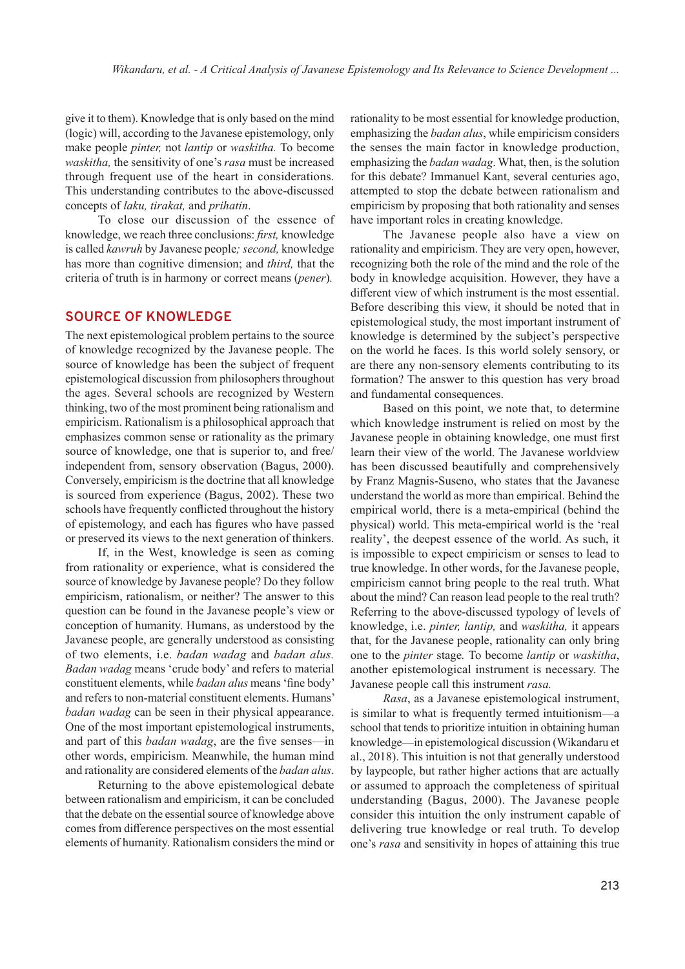give it to them). Knowledge that is only based on the mind (logic) will, according to the Javanese epistemology, only make people *pinter,* not *lantip* or *waskitha.* To become *waskitha,* the sensitivity of one's *rasa* must be increased through frequent use of the heart in considerations. This understanding contributes to the above-discussed concepts of *laku, tirakat,* and *prihatin*.

To close our discussion of the essence of knowledge, we reach three conclusions: *first,* knowledge is called *kawruh* by Javanese people*; second,* knowledge has more than cognitive dimension; and *third,* that the criteria of truth is in harmony or correct means (*pener*)*.*

#### **SOURCE OF KNOWLEDGE**

The next epistemological problem pertains to the source of knowledge recognized by the Javanese people. The source of knowledge has been the subject of frequent epistemological discussion from philosophers throughout the ages. Several schools are recognized by Western thinking, two of the most prominent being rationalism and empiricism. Rationalism is a philosophical approach that emphasizes common sense or rationality as the primary source of knowledge, one that is superior to, and free/ independent from, sensory observation (Bagus, 2000). Conversely, empiricism is the doctrine that all knowledge is sourced from experience (Bagus, 2002). These two schools have frequently conflicted throughout the history of epistemology, and each has figures who have passed or preserved its views to the next generation of thinkers.

If, in the West, knowledge is seen as coming from rationality or experience, what is considered the source of knowledge by Javanese people? Do they follow empiricism, rationalism, or neither? The answer to this question can be found in the Javanese people's view or conception of humanity. Humans, as understood by the Javanese people, are generally understood as consisting of two elements, i.e. *badan wadag* and *badan alus. Badan wadag* means 'crude body' and refers to material constituent elements, while *badan alus* means 'fine body' and refers to non-material constituent elements. Humans' *badan wadag* can be seen in their physical appearance. One of the most important epistemological instruments, and part of this *badan wadag*, are the five senses—in other words, empiricism. Meanwhile, the human mind and rationality are considered elements of the *badan alus*.

Returning to the above epistemological debate between rationalism and empiricism, it can be concluded that the debate on the essential source of knowledge above comes from difference perspectives on the most essential elements of humanity. Rationalism considers the mind or

rationality to be most essential for knowledge production, emphasizing the *badan alus*, while empiricism considers the senses the main factor in knowledge production, emphasizing the *badan wadag*. What, then, is the solution for this debate? Immanuel Kant, several centuries ago, attempted to stop the debate between rationalism and empiricism by proposing that both rationality and senses have important roles in creating knowledge.

The Javanese people also have a view on rationality and empiricism. They are very open, however, recognizing both the role of the mind and the role of the body in knowledge acquisition. However, they have a different view of which instrument is the most essential. Before describing this view, it should be noted that in epistemological study, the most important instrument of knowledge is determined by the subject's perspective on the world he faces. Is this world solely sensory, or are there any non-sensory elements contributing to its formation? The answer to this question has very broad and fundamental consequences.

Based on this point, we note that, to determine which knowledge instrument is relied on most by the Javanese people in obtaining knowledge, one must first learn their view of the world. The Javanese worldview has been discussed beautifully and comprehensively by Franz Magnis-Suseno, who states that the Javanese understand the world as more than empirical. Behind the empirical world, there is a meta-empirical (behind the physical) world. This meta-empirical world is the 'real reality', the deepest essence of the world. As such, it is impossible to expect empiricism or senses to lead to true knowledge. In other words, for the Javanese people, empiricism cannot bring people to the real truth. What about the mind? Can reason lead people to the real truth? Referring to the above-discussed typology of levels of knowledge, i.e. *pinter, lantip,* and *waskitha,* it appears that, for the Javanese people, rationality can only bring one to the *pinter* stage*.* To become *lantip* or *waskitha*, another epistemological instrument is necessary. The Javanese people call this instrument *rasa.*

*Rasa*, as a Javanese epistemological instrument, is similar to what is frequently termed intuitionism—a school that tends to prioritize intuition in obtaining human knowledge—in epistemological discussion (Wikandaru et al., 2018). This intuition is not that generally understood by laypeople, but rather higher actions that are actually or assumed to approach the completeness of spiritual understanding (Bagus, 2000). The Javanese people consider this intuition the only instrument capable of delivering true knowledge or real truth. To develop one's *rasa* and sensitivity in hopes of attaining this true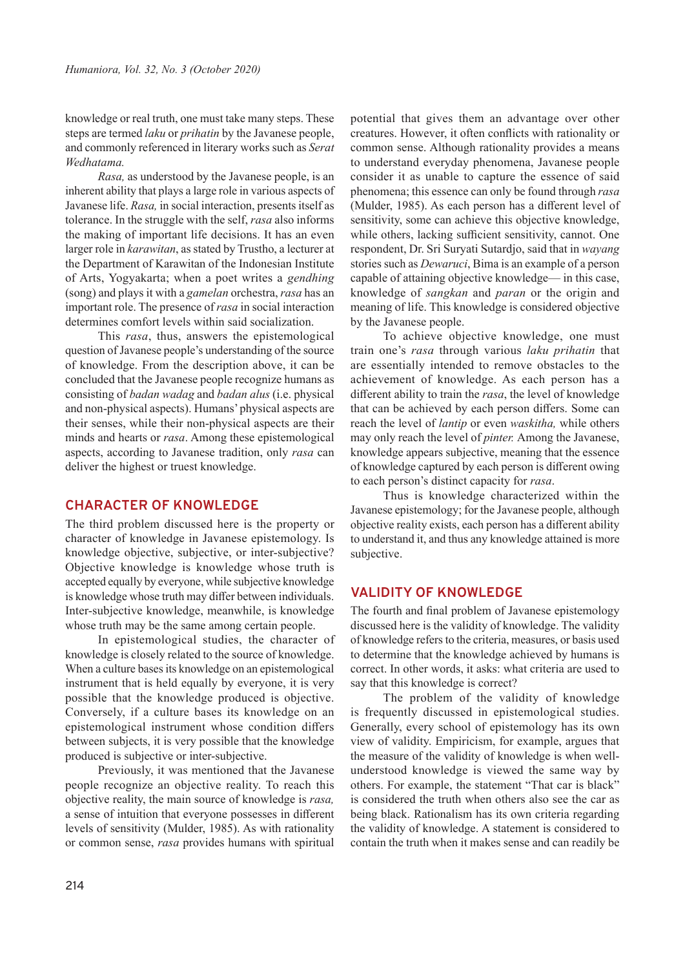knowledge or real truth, one must take many steps. These steps are termed *laku* or *prihatin* by the Javanese people, and commonly referenced in literary works such as *Serat Wedhatama.*

*Rasa,* as understood by the Javanese people, is an inherent ability that plays a large role in various aspects of Javanese life. *Rasa,* in social interaction, presents itself as tolerance. In the struggle with the self, *rasa* also informs the making of important life decisions. It has an even larger role in *karawitan*, as stated by Trustho, a lecturer at the Department of Karawitan of the Indonesian Institute of Arts, Yogyakarta; when a poet writes a *gendhing*  (song) and plays it with a *gamelan* orchestra, *rasa* has an important role. The presence of *rasa* in social interaction determines comfort levels within said socialization.

This *rasa*, thus, answers the epistemological question of Javanese people's understanding of the source of knowledge. From the description above, it can be concluded that the Javanese people recognize humans as consisting of *badan wadag* and *badan alus* (i.e. physical and non-physical aspects). Humans' physical aspects are their senses, while their non-physical aspects are their minds and hearts or *rasa*. Among these epistemological aspects, according to Javanese tradition, only *rasa* can deliver the highest or truest knowledge.

## **CHARACTER OF KNOWLEDGE**

The third problem discussed here is the property or character of knowledge in Javanese epistemology. Is knowledge objective, subjective, or inter-subjective? Objective knowledge is knowledge whose truth is accepted equally by everyone, while subjective knowledge is knowledge whose truth may differ between individuals. Inter-subjective knowledge, meanwhile, is knowledge whose truth may be the same among certain people.

In epistemological studies, the character of knowledge is closely related to the source of knowledge. When a culture bases its knowledge on an epistemological instrument that is held equally by everyone, it is very possible that the knowledge produced is objective. Conversely, if a culture bases its knowledge on an epistemological instrument whose condition differs between subjects, it is very possible that the knowledge produced is subjective or inter-subjective.

Previously, it was mentioned that the Javanese people recognize an objective reality. To reach this objective reality, the main source of knowledge is *rasa,*  a sense of intuition that everyone possesses in different levels of sensitivity (Mulder, 1985). As with rationality or common sense, *rasa* provides humans with spiritual

potential that gives them an advantage over other creatures. However, it often conflicts with rationality or common sense. Although rationality provides a means to understand everyday phenomena, Javanese people consider it as unable to capture the essence of said phenomena; this essence can only be found through *rasa*  (Mulder, 1985). As each person has a different level of sensitivity, some can achieve this objective knowledge, while others, lacking sufficient sensitivity, cannot. One respondent, Dr. Sri Suryati Sutardjo, said that in *wayang*  stories such as *Dewaruci*, Bima is an example of a person capable of attaining objective knowledge— in this case, knowledge of *sangkan* and *paran* or the origin and meaning of life. This knowledge is considered objective by the Javanese people.

To achieve objective knowledge, one must train one's *rasa* through various *laku prihatin* that are essentially intended to remove obstacles to the achievement of knowledge. As each person has a different ability to train the *rasa*, the level of knowledge that can be achieved by each person differs. Some can reach the level of *lantip* or even *waskitha,* while others may only reach the level of *pinter.* Among the Javanese, knowledge appears subjective, meaning that the essence of knowledge captured by each person is different owing to each person's distinct capacity for *rasa*.

Thus is knowledge characterized within the Javanese epistemology; for the Javanese people, although objective reality exists, each person has a different ability to understand it, and thus any knowledge attained is more subjective.

# **VALIDITY OF KNOWLEDGE**

The fourth and final problem of Javanese epistemology discussed here is the validity of knowledge. The validity of knowledge refers to the criteria, measures, or basis used to determine that the knowledge achieved by humans is correct. In other words, it asks: what criteria are used to say that this knowledge is correct?

The problem of the validity of knowledge is frequently discussed in epistemological studies. Generally, every school of epistemology has its own view of validity. Empiricism, for example, argues that the measure of the validity of knowledge is when wellunderstood knowledge is viewed the same way by others. For example, the statement "That car is black" is considered the truth when others also see the car as being black. Rationalism has its own criteria regarding the validity of knowledge. A statement is considered to contain the truth when it makes sense and can readily be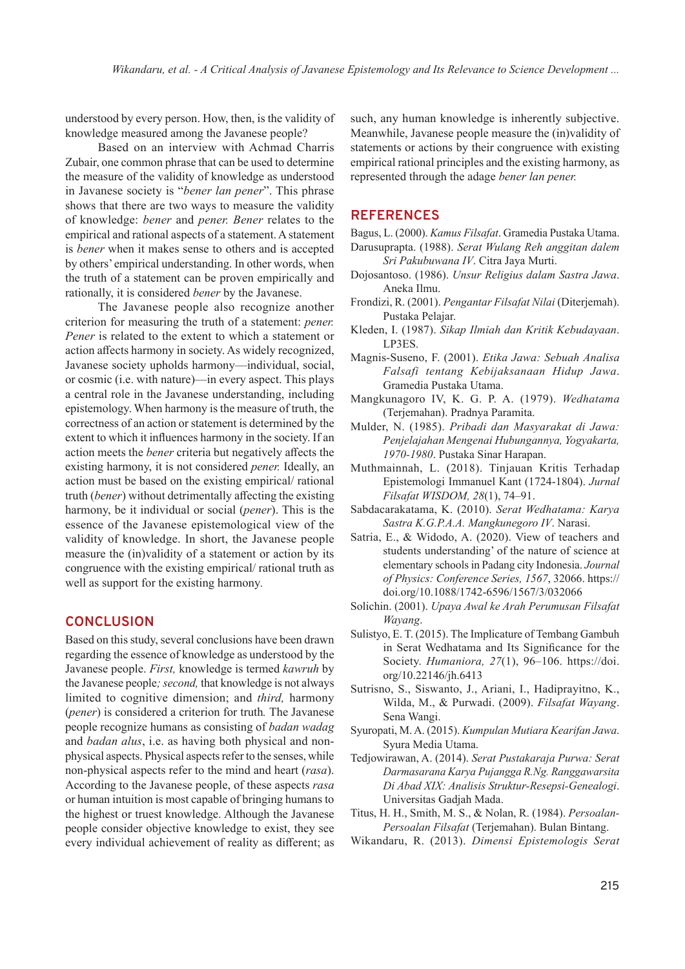understood by every person. How, then, is the validity of knowledge measured among the Javanese people?

Based on an interview with Achmad Charris Zubair, one common phrase that can be used to determine the measure of the validity of knowledge as understood in Javanese society is "*bener lan pener*". This phrase shows that there are two ways to measure the validity of knowledge: *bener* and *pener. Bener* relates to the empirical and rational aspects of a statement. A statement is *bener* when it makes sense to others and is accepted by others' empirical understanding. In other words, when the truth of a statement can be proven empirically and rationally, it is considered *bener* by the Javanese.

The Javanese people also recognize another criterion for measuring the truth of a statement: *pener. Pener* is related to the extent to which a statement or action affects harmony in society. As widely recognized, Javanese society upholds harmony—individual, social, or cosmic (i.e. with nature)—in every aspect. This plays a central role in the Javanese understanding, including epistemology. When harmony is the measure of truth, the correctness of an action or statement is determined by the extent to which it influences harmony in the society. If an action meets the *bener* criteria but negatively affects the existing harmony, it is not considered *pener.* Ideally, an action must be based on the existing empirical/ rational truth (*bener*) without detrimentally affecting the existing harmony, be it individual or social (*pener*). This is the essence of the Javanese epistemological view of the validity of knowledge. In short, the Javanese people measure the (in)validity of a statement or action by its congruence with the existing empirical/ rational truth as well as support for the existing harmony*.*

## **CONCLUSION**

Based on this study, several conclusions have been drawn regarding the essence of knowledge as understood by the Javanese people. *First,* knowledge is termed *kawruh* by the Javanese people*; second,* that knowledge is not always limited to cognitive dimension; and *third,* harmony (*pener*) is considered a criterion for truth*.* The Javanese people recognize humans as consisting of *badan wadag* and *badan alus*, i.e. as having both physical and nonphysical aspects. Physical aspects refer to the senses, while non-physical aspects refer to the mind and heart (*rasa*). According to the Javanese people, of these aspects *rasa*  or human intuition is most capable of bringing humans to the highest or truest knowledge. Although the Javanese people consider objective knowledge to exist, they see every individual achievement of reality as different; as

such, any human knowledge is inherently subjective. Meanwhile, Javanese people measure the (in)validity of statements or actions by their congruence with existing empirical rational principles and the existing harmony, as represented through the adage *bener lan pener.*

#### **REFERENCES**

Bagus, L. (2000). *Kamus Filsafat*. Gramedia Pustaka Utama. Darusuprapta. (1988). *Serat Wulang Reh anggitan dalem Sri Pakubuwana IV*. Citra Jaya Murti.

- Dojosantoso. (1986). *Unsur Religius dalam Sastra Jawa*. Aneka Ilmu.
- Frondizi, R. (2001). *Pengantar Filsafat Nilai* (Diterjemah). Pustaka Pelajar.
- Kleden, I. (1987). *Sikap Ilmiah dan Kritik Kebudayaan*. LP3ES.
- Magnis-Suseno, F. (2001). *Etika Jawa: Sebuah Analisa Falsafi tentang Kebijaksanaan Hidup Jawa*. Gramedia Pustaka Utama.
- Mangkunagoro IV, K. G. P. A. (1979). *Wedhatama* (Terjemahan). Pradnya Paramita.
- Mulder, N. (1985). *Pribadi dan Masyarakat di Jawa: Penjelajahan Mengenai Hubungannya, Yogyakarta, 1970-1980*. Pustaka Sinar Harapan.
- Muthmainnah, L. (2018). Tinjauan Kritis Terhadap Epistemologi Immanuel Kant (1724-1804). *Jurnal Filsafat WISDOM, 28*(1), 74–91.
- Sabdacarakatama, K. (2010). *Serat Wedhatama: Karya Sastra K.G.P.A.A. Mangkunegoro IV*. Narasi.
- Satria, E., & Widodo, A. (2020). View of teachers and students understanding' of the nature of science at elementary schools in Padang city Indonesia. *Journal of Physics: Conference Series, 1567*, 32066. https:// doi.org/10.1088/1742-6596/1567/3/032066
- Solichin. (2001). *Upaya Awal ke Arah Perumusan Filsafat Wayang*.
- Sulistyo, E. T. (2015). The Implicature of Tembang Gambuh in Serat Wedhatama and Its Significance for the Society. *Humaniora, 27*(1), 96–106. https://doi. org/10.22146/jh.6413
- Sutrisno, S., Siswanto, J., Ariani, I., Hadiprayitno, K., Wilda, M., & Purwadi. (2009). *Filsafat Wayang*. Sena Wangi.
- Syuropati, M. A. (2015). *Kumpulan Mutiara Kearifan Jawa*. Syura Media Utama.
- Tedjowirawan, A. (2014). *Serat Pustakaraja Purwa: Serat Darmasarana Karya Pujangga R.Ng. Ranggawarsita Di Abad XIX: Analisis Struktur-Resepsi-Genealogi*. Universitas Gadjah Mada.
- Titus, H. H., Smith, M. S., & Nolan, R. (1984). *Persoalan-Persoalan Filsafat* (Terjemahan). Bulan Bintang.
- Wikandaru, R. (2013). *Dimensi Epistemologis Serat*